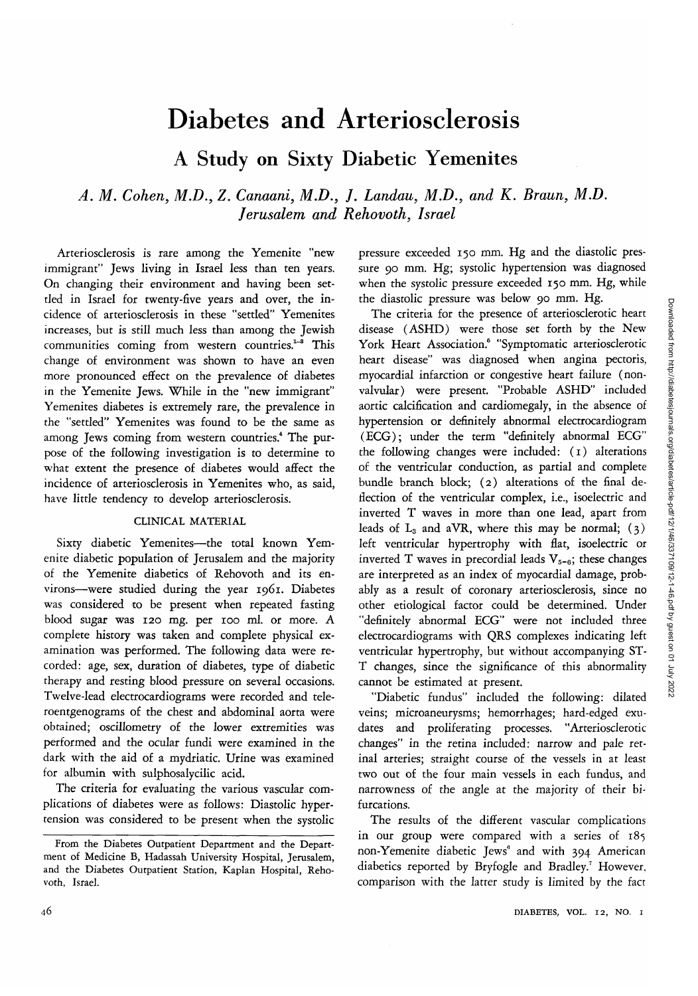# Diabetes and Arteriosclerosis

A Study on Sixty Diabetic Yemenites

# *A. M. Cohen, M.D., Z. Canaani, M.D., J. Landau, M.D., and K. Braun, M.D. Jerusalem and Rehovoth, Israel*

Arteriosclerosis is rare among the Yemenite "new immigrant" Jews living in Israel less than ten years. On changing their environment and having been settled in Israel for twenty-five years and over, the incidence of arteriosclerosis in these "settled" Yemenites increases, but is still much less than among the Jewish communities coming from western countries.<sup>1-8</sup> This change of environment was shown to have an even more pronounced effect on the prevalence of diabetes in the Yemenite Jews. While in the "new immigrant" Yemenites diabetes is extremely rare, the prevalence in the "settled" Yemenites was found to be the same as among Jews coming from western countries.<sup>4</sup> The purpose of the following investigation is to determine to what extent the presence of diabetes would affect the incidence of arteriosclerosis in Yemenites who, as said, have little tendency to develop arteriosclerosis.

## CLINICAL MATERIAL

Sixty diabetic Yemenites—the total known Yemenite diabetic population of Jerusalem and the majority of the Yemenite diabetics of Rehovoth and its environs—were studied during the year 1961. Diabetes was considered to be present when repeated fasting blood sugar was 120 mg. per 100 ml. or more. A complete history was taken and complete physical examination was performed. The following data were recorded: age, sex, duration of diabetes, type of diabetic therapy and resting blood pressure on several occasions. Twelve-lead electrocardiograms were recorded and teleroentgenograms of the chest and abdominal aorta were obtained; oscillometry of the lower extremities was performed and the ocular fundi were examined in the dark with the aid of a mydriatic. Urine was examined for albumin with sulphosalycilic acid.

The criteria for evaluating the various vascular complications of diabetes were as follows: Diastolic hypertension was considered to be present when the systolic pressure exceeded 150 mm. Hg and the diastolic pressure 90 mm. Hg; systolic hypertension was diagnosed when the systolic pressure exceeded 150 mm. Hg, while the diastolic pressure was below 90 mm. Hg.

The criteria for the presence of arteriosclerotic heart disease (ASHD) were those *set* forth by the New York Heart Association.<sup>6</sup> "Symptomatic arteriosclerotic heart disease" was diagnosed when angina pectoris, myocardial infarction or congestive heart failure (nonvalvular) were present. "Probable ASHD" included aortic calcification and cardiomegaly, in the absence of hypertension or definitely abnormal electrocardiogram (ECG); under the term "definitely abnormal ECG" the following changes were included: (1) alterations of the ventricular conduction, as partial and complete bundle branch block; (2) alterations of the final deflection of the ventricular complex, i.e., isoelectric and inverted T waves in more than one lead, apart from leads of  $L_3$  and aVR, where this may be normal; (3) left ventricular hypertrophy with flat, isoelectric or inverted T waves in precordial leads  $V_{5-6}$ ; these changes are interpreted as an index of myocardial damage, probably as a result of coronary arteriosclerosis, since no other etiological factor could be determined. Under "definitely abnormal ECG" were not included three electrocardiograms with QRS complexes indicating left ventricular hypertrophy, but without accompanying ST-T changes, since the significance of this abnormality cannot be estimated at present.

"Diabetic fundus" included the following: dilated veins; microaneurysms; hemorrhages; hard-edged exudates and proliferating processes. "Arteriosclerotic changes" in the retina included: narrow and pale retinal arteries; straight course of the vessels in at least two out of the four main vessels in each fundus, and narrowness of the angle at the majority of their bifurcations.

The results of the different vascular complications in our group were compared with a series of 185 non-Yemenite diabetic Jews<sup>6</sup> and with 394 American diabetics reported by Bryfogle and Bradley.<sup>7</sup> However, comparison with the latter study is limited by the fact

From the Diabetes Outpatient Department and the Department of Medicine B, Hadassah University Hospital, Jerusalem, and the Diabetes Outpatient Station, Kaplan Hospital, Rehovoth, Israel.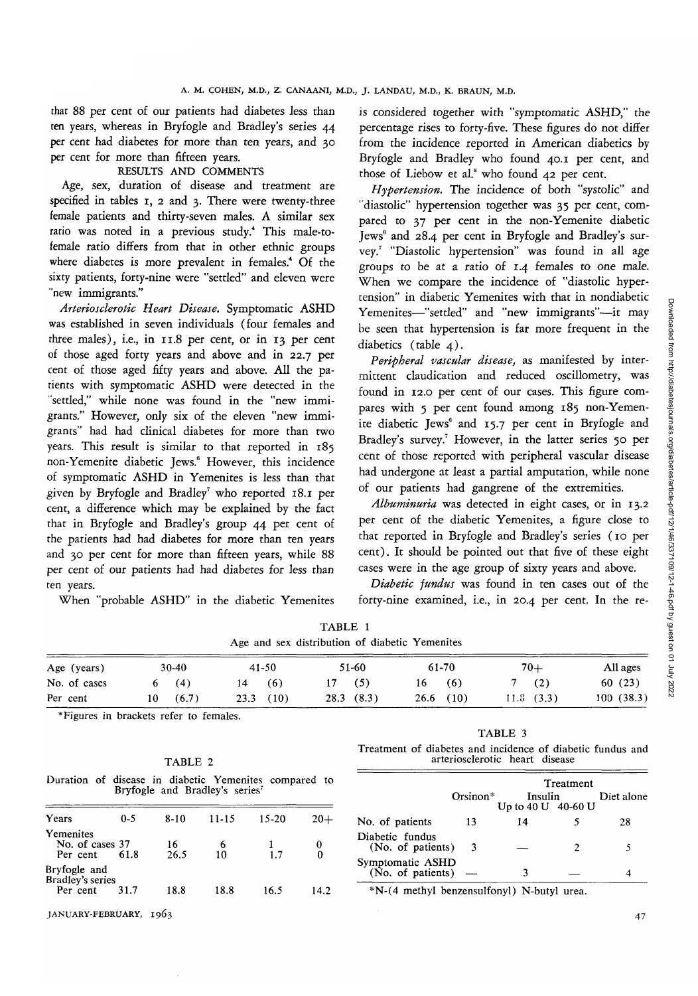that 88 per cent of our patients had diabetes less than ten years, whereas in Bryfogle and Bradley's series 44 per cent had diabetes for more than ten years, and 30 per cent for more than fifteen years.

### RESULTS AND COMMENTS

Age, sex, duration of disease and treatment are specified in tables 1, 2 and 3. There were twenty-three female patients and thirty-seven males. A similar sex ratio was noted in a previous study.4 This male-tofemale ratio differs from that in other ethnic groups where diabetes is more prevalent in females.<sup>4</sup> Of the sixty patients, forty-nine were "settled" and eleven were "new immigrants."

*Arteriosclerotic Heart Disease.* Symptomatic ASHD was established in seven individuals (four females and three males), i.e., in 11.8 per cent, or in 13 per cent of those aged forty years and above and in 22.7 per cent of those aged fifty years and above. All the patients with symptomatic ASHD were detected in the "settled," while none was found in the "new immigrants." However, only six of the eleven "new immigrants" had had clinical diabetes for more than two years. This result is similar to that reported in 185 non-Yemenite diabetic Jews.<sup>6</sup> However, this incidence of symptomatic ASHD in Yemenites is less than that given by <mark>Bryfogle and Bradley<sup>7</sup> who reported 18.1 per</mark> cent, a difference which may be explained by the fact that in Bryfogle and Bradley's group 44 per cent of the patients had had diabetes for more than ten years and 30 per cent for more than fifteen years, while 88 per cent of our patients had had diabetes for less than ten years.

When "probable ASHD" in the diabetic Yemenites

23.3 (10)

is considered together with "symptomatic ASHD," the percentage rises to forty-five. These figures do not differ from the incidence reported in American diabetics by Bryfogle and Bradley who found 40.1 per cent, and those of Liebow et al.<sup>8</sup> who found 42 per cent.

*Hypertension.* The incidence of both "systolic" and "diastolic" hypertension together was 35 per cent, compared to 37 per cent in the non-Yemenite diabetic Jews<sup>6</sup> and 28.4 per cent in Bryfogle and Bradley's survey.7 "Diastolic hypertension" was found in all age groups to be at a ratio of 1.4 females to one male. When we compare the incidence of "diastolic hypertension" in diabetic Yemenites with that in nondiabetic Yemenites—"settled" and "new immigrants"—it may be seen that hypertension is far more frequent in the diabetics (table 4).

*Peripheral vascular disease,* as manifested by intermittent claudication and reduced oscillometry, was found in 12.0 per cent of our cases. This figure compares with 5 per cent found among 185 non-Yemenite diabetic Jews<sup>6</sup> and 15.7 per cent in Bryfogle and Bradley's survey.<sup>7</sup> However, in the latter series 50 per cent of those reported with peripheral vascular disease had undergone at least a partial amputation, while none of our patients had gangrene of the extremities.

*Albuminuria* was detected in eight cases, or in 13.2 per cent of the diabetic Yemenites, a figure close to that reported in Bryfogle and Bradley's series (10 per cent). It should be pointed out that five of these eight cases were in the age group of sixty years and above.

*Diabetic jundus* was found in ten cases out of the forty-nine examined, i.e., in  $20.4$  per cent. In the re-

|           | TABLE 1<br>Age and sex distribution of diabetic Yemenites |           |       |          |
|-----------|-----------------------------------------------------------|-----------|-------|----------|
| 41-50     | 51-60                                                     | 61-70     | $70+$ | All ages |
| (6)<br>14 | (5)                                                       | (6)<br>16 | (2)   | 60 (23)  |

26.6 (10)

28.3 (8.3)

10 ^Figures in brackets refer to females.

6

30-40 (4) (6.7)

|--|--|

Duration of disease in diabetic Yemenites compared to Bryfogle and Bradley's series<sup>7</sup>

| Years                                        | $0 - 5$ | $8-10$     | $11 - 15$ | $15 - 20$ | $20+$ |
|----------------------------------------------|---------|------------|-----------|-----------|-------|
| Yemenites<br>No. of cases 37<br>Per cent     | 61.8    | 16<br>26.5 | 6<br>10   | 1.7       |       |
| Bryfogle and<br>Bradley's series<br>Per cent | 31.7    | 18.8       | 18.8      | 16.5      | 14.2  |
|                                              |         |            |           |           |       |

JANUARY-FEBRUARY, 1963 **47**

Age (years) No. of cases Per cent

TABLE 3

11. 8 (3.3)

Treatment of diabetes and incidence of diabetic fundus and arteriosclerotic heart disease

|                                                                 | Treatment  |                                         |   |            |  |  |
|-----------------------------------------------------------------|------------|-----------------------------------------|---|------------|--|--|
|                                                                 | $Orsinon*$ | Insulin<br>Up to $40 \text{ U}$ 40-60 U |   | Diet alone |  |  |
| No. of patients                                                 | 13         | 14                                      |   | 28         |  |  |
| Diabetic fundus<br>(No. of patients)                            | -3         |                                         | 2 | 5          |  |  |
| Symptomatic ASHD<br>$(\overline{No}, \overline{of}$ patients) — |            | ٦                                       |   |            |  |  |

16.5 14.2 \*N-(4 methyl benzensulfonyl) N-butyl urea.

100 (38.3)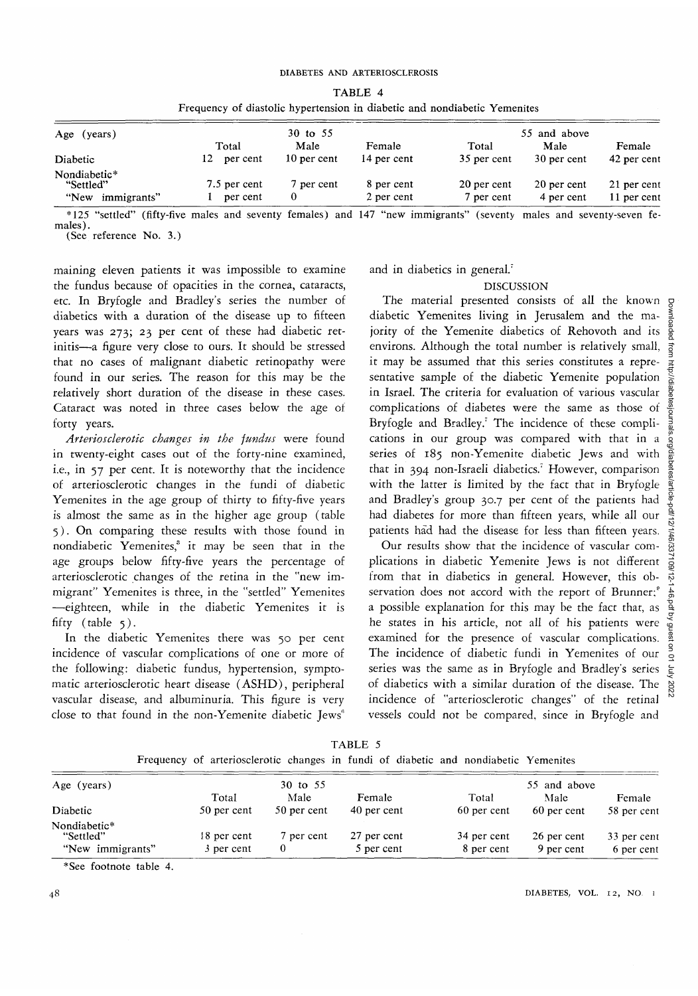| TABLE 4                                                                   |  |  |  |  |
|---------------------------------------------------------------------------|--|--|--|--|
| Frequency of diastolic hypertension in diabetic and nondiabetic Yemenites |  |  |  |  |

| Age (years)               | 30 to 55     |             |             | 55 and above |             |             |
|---------------------------|--------------|-------------|-------------|--------------|-------------|-------------|
|                           | Total        | Male        | Female      | Total        | Male        | Female      |
| Diabetic                  | per cent     | 10 per cent | 14 per cent | 35 per cent  | 30 per cent | 42 per cent |
| Nondiabetic*<br>"Settled" | 7.5 per cent | 7 per cent  | 8 per cent  | 20 per cent  | 20 per cent | 21 per cent |
| "New<br>immigrants"       | per cent     |             | 2 per cent  | 7 per cent   | 4 per cent  | 11 per cent |

\*125 "settled" (fifty-five males and seventy females) and 147 "new immigrants" (seventy males and seventy-seven fe-<br>males).<br>(See reference No. 3.)

maining eleven patients it was impossible to examine the fundus because of opacities in the cornea, cataracts, etc. In Bryfogle and Bradley's series the number of diabetics with a duration of the disease up to fifteen years was 273; 23 per cent of these had diabetic retinitis—a figure very close to ours. It should be stressed that no cases of malignant diabetic retinopathy were found in our series. The reason for this may be the relatively short duration of the disease in these cases. Cataract was noted in three cases below the age of forty years.

*Arteriosclerotic changes in the fundus* were found in twenty-eight cases out of the forty-nine examined, i.e., in 57 per cent. It is noteworthy that the incidence of arteriosclerotic changes in the fundi of diabetic Yemenites in the age group of thirty to fifty-five years is almost the same as in the higher age group (table 5). On comparing these results with those found in nondiabetic Yemenites,<sup>3</sup> it may be seen that in the age groups below fifty-five years the percentage of arteriosclerotic changes of the retina in the "new immigrant" Yemenites is three, in the "settled" Yemenites —eighteen, while in the diabetic Yemenites it is fifty (table 5).

In the diabetic Yemenites there was 50 per cent incidence of vascular complications of one or more of the following: diabetic fundus, hypertension, symptomatic arteriosclerotic heart disease (ASHD), peripheral vascular disease, and albuminuria. This figure is very close to that found in the non-Yemenite diabetic Jews<sup>6</sup>

and in diabetics in general.'

#### DISCUSSION

The material presented consists of all the known g diabetic Yemenites *living* in Jerusalem and the majority of the Yemenite diabetics of Rehovoth and its environs. Although the total number is relatively small, it may be assumed that this series constitutes a representative sample of the diabetic Yemenite population in Israel. The criteria for evaluation of various vascular complications of diabetes were the same as those of Bryfogle and Bradley.' The incidence of these complications in our group was compared with that in a series of 185 non-Yemenite diabetic Jews and with that in 394 non-Israeli diabetics.' However, comparison with the latter is limited by the fact that in Bryfogle and Bradley's group 30.7 per cent of the patients had had diabetes for more than fifteen years, while all our patients had had the disease for less than fifteen years.

Our results show that the incidence of vascular complications in diabetic Yemenite Jews is not different from that in diabetics in general. However, this observation does not accord with the report of Brunner;<sup>®</sup> a possible explanation for this may be the fact that, as he states in his article, not all of his patients were examined for the presence of vascular complications. The incidence of diabetic fundi in Yemenites of our series was the same as in Bryfogle and Bradley's series of diabetics with a similar duration of the disease. The incidence of "arteriosclerotic changes" of the retinal vessels could not be compared, since in Bryfogle and

| Age (years)               |             | 30 to 55    |             |             | 55 and above |             |  |
|---------------------------|-------------|-------------|-------------|-------------|--------------|-------------|--|
|                           | Total       | Male        | Female      | Total       | Male         | Female      |  |
| Diabetic                  | 50 per cent | 50 per cent | 40 per cent | 60 per cent | 60 per cent  | 58 per cent |  |
| Nondiabetic*<br>"Settled" | 18 per cent | 7 per cent  | 27 per cent | 34 per cent | 26 per cent  | 33 per cent |  |
|                           |             |             |             |             |              |             |  |
| "New immigrants"          | 3 per cent  | 0           | 5 per cent  | 8 per cent  | 9 per cent   | 6 per cent  |  |

TABLE 5 Frequency of arteriosclerotic changes in fundi of diabetic and nondiabetic Yemenites

\*See footnote table 4.

48 DIABETES, VOL. 12, NO.